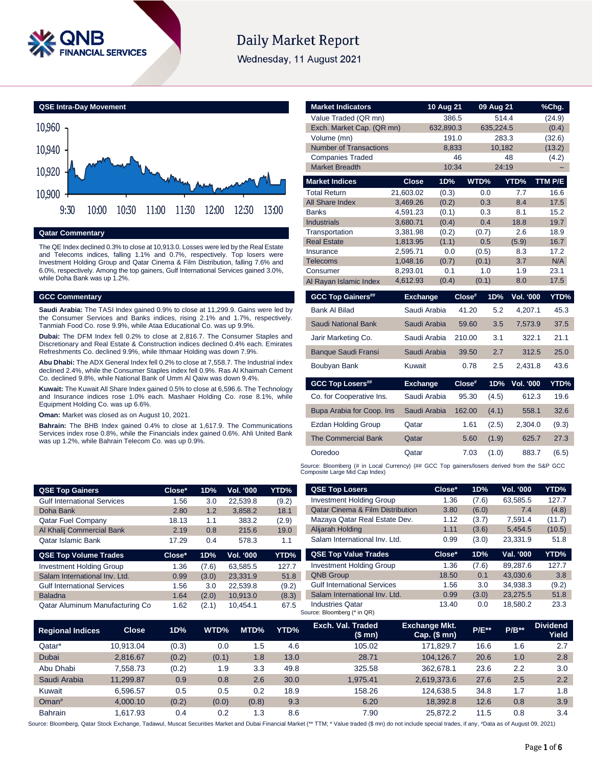

# **Daily Market Report**

Wednesday, 11 August 2021



# **Qatar Commentary**

The QE Index declined 0.3% to close at 10,913.0. Losses were led by the Real Estate and Telecoms indices, falling 1.1% and 0.7%, respectively. Top losers were Investment Holding Group and Qatar Cinema & Film Distribution, falling 7.6% and 6.0%, respectively. Among the top gainers, Gulf International Services gained 3.0%, while Doha Bank was up 1.2%.

#### **GCC Commentary**

**Saudi Arabia:** The TASI Index gained 0.9% to close at 11,299.9. Gains were led by the Consumer Services and Banks indices, rising 2.1% and 1.7%, respectively. Tanmiah Food Co. rose 9.9%, while Ataa Educational Co. was up 9.9%.

**Dubai:** The DFM Index fell 0.2% to close at 2,816.7. The Consumer Staples and Discretionary and Real Estate & Construction indices declined 0.4% each. Emirates Refreshments Co. declined 9.9%, while Ithmaar Holding was down 7.9%.

**Abu Dhabi:** The ADX General Index fell 0.2% to close at 7,558.7. The Industrial index declined 2.4%, while the Consumer Staples index fell 0.9%. Ras Al Khaimah Cement Co. declined 9.8%, while National Bank of Umm Al Qaiw was down 9.4%.

**Kuwait:** The Kuwait All Share Index gained 0.5% to close at 6,596.6. The Technology and Insurance indices rose 1.0% each. Mashaer Holding Co. rose 8.1%, while Equipment Holding Co. was up 6.6%.

**Oman:** Market was closed as on August 10, 2021.

**Bahrain:** The BHB Index gained 0.4% to close at 1,617.9. The Communications Services index rose 0.8%, while the Financials index gained 0.6%. Ahli United Bank was up 1.2%, while Bahrain Telecom Co. was up 0.9%.

| <b>Market Indicators</b>      |                      | 10 Aug 21    |        | 09 Aug 21    |            | %Chg.       |  |
|-------------------------------|----------------------|--------------|--------|--------------|------------|-------------|--|
| Value Traded (QR mn)          |                      | 386.5        |        | 514.4        |            | (24.9)      |  |
| Exch. Market Cap. (QR mn)     |                      | 632,890.3    |        | 635,224.5    |            | (0.4)       |  |
| Volume (mn)                   |                      |              |        |              | 283.3      | (32.6)      |  |
| <b>Number of Transactions</b> |                      | 8,833        |        | 10,182       |            | (13.2)      |  |
| <b>Companies Traded</b>       |                      |              | 46     |              | 48         | (4.2)       |  |
| <b>Market Breadth</b>         |                      | 10:34        |        | 24:19        |            |             |  |
| <b>Market Indices</b>         | <b>Close</b>         | 1D%          |        | WTD%         | YTD%       | TTM P/E     |  |
| <b>Total Return</b>           | 21,603.02            | (0.3)        |        | 0.0          | 7.7        | 16.6        |  |
| <b>All Share Index</b>        | 3,469.26             | (0.2)        |        | 0.3          | 8.4        | 17.5        |  |
| <b>Banks</b>                  | 4,591.23             | (0.1)        |        | 0.3          | 8.1        | 15.2        |  |
| <b>Industrials</b>            | 3,680.71             | (0.4)        |        | 0.4          | 18.8       | 19.7        |  |
| Transportation                | 3,381.98             | (0.2)        |        | (0.7)        | 2.6        | 18.9        |  |
| <b>Real Estate</b>            | 1,813.95             | (1.1)        |        | 0.5          | (5.9)      | 16.7        |  |
| Insurance                     | 2,595.71             | 0.0          |        | (0.5)        | 8.3        | 17.2        |  |
| Telecoms<br>Consumer          | 1,048.16<br>8,293.01 | (0.7)<br>0.1 |        | (0.1)<br>1.0 | 3.7<br>1.9 | N/A<br>23.1 |  |
|                               | 4,612.93             | (0.4)        |        | (0.1)        | 8.0        | 17.5        |  |
| Al Rayan Islamic Index        |                      |              |        |              |            |             |  |
| <b>GCC Top Gainers##</b>      | <b>Exchange</b>      |              | Close# | 1D%          | Vol. '000  | YTD%        |  |
| <b>Bank Al Bilad</b>          |                      | Saudi Arabia | 41.20  | 5.2          | 4,207.1    | 45.3        |  |
| <b>Saudi National Bank</b>    |                      | Saudi Arabia | 59.60  | 3.5          | 7,573.9    | 37.5        |  |
| Jarir Marketing Co.           |                      | Saudi Arabia | 210.00 | 3.1          | 322.1      | 21.1        |  |
| <b>Banque Saudi Fransi</b>    |                      | Saudi Arabia | 39.50  | 2.7          | 312.5      | 25.0        |  |
| Boubyan Bank                  | Kuwait               |              | 0.78   | 2.5          | 2,431.8    | 43.6        |  |
| <b>GCC Top Losers##</b>       | <b>Exchange</b>      |              | Close# | 1D%          | Vol. '000  | YTD%        |  |
| Co. for Cooperative Ins.      |                      | Saudi Arabia | 95.30  | (4.5)        | 612.3      | 19.6        |  |
| Bupa Arabia for Coop. Ins     |                      | Saudi Arabia | 162.00 | (4.1)        | 558.1      | 32.6        |  |
| <b>Ezdan Holding Group</b>    | Qatar                |              | 1.61   | (2.5)        | 2,304.0    | (9.3)       |  |
| <b>The Commercial Bank</b>    | Qatar                |              | 5.60   | (1.9)        | 625.7      | 27.3        |  |
| Ooredoo                       | Qatar                |              | 7.03   | (1.0)        | 883.7      | (6.5)       |  |
|                               |                      |              |        |              |            |             |  |

Source: Bloomberg (# in Local Currency) (## GCC Top gainers/losers derived from the S&P GCC<br>Composite Large Mid Cap Index)

| QSE Top Gainers                    |              | Close* | 1D%   | Vol. '000  | YTD%  | <b>QSE Top Losers</b>                       | Close*                                 | 1D%          | Vol. '000 | YTD%                     |
|------------------------------------|--------------|--------|-------|------------|-------|---------------------------------------------|----------------------------------------|--------------|-----------|--------------------------|
| <b>Gulf International Services</b> |              | 1.56   | 3.0   | 22,539.8   | (9.2) | <b>Investment Holding Group</b>             | 1.36                                   | (7.6)        | 63,585.5  | 127.7                    |
| Doha Bank                          |              | 2.80   | 1.2   | 3,858.2    | 18.1  | <b>Qatar Cinema &amp; Film Distribution</b> | 3.80                                   | (6.0)        | 7.4       | (4.8)                    |
| <b>Qatar Fuel Company</b>          |              | 18.13  | 1.1   | 383.2      | (2.9) | Mazaya Qatar Real Estate Dev.               | 1.12                                   | (3.7)        | 7.591.4   | (11.7)                   |
| Al Khalij Commercial Bank          |              | 2.19   | 0.8   | 215.6      | 19.0  | Alijarah Holding                            | 1.11                                   | (3.6)        | 5,454.5   | (10.5)                   |
| Qatar Islamic Bank                 |              | 17.29  | 0.4   | 578.3      | 1.1   | Salam International Inv. Ltd.               | 0.99                                   | (3.0)        | 23,331.9  | 51.8                     |
| <b>QSE Top Volume Trades</b>       |              | Close* | 1D%   | Vol. '000  | YTD%  | <b>QSE Top Value Trades</b>                 | Close*                                 | 1D%          | Val. '000 | YTD%                     |
| <b>Investment Holding Group</b>    |              | 1.36   | (7.6) | 63,585.5   | 127.7 | <b>Investment Holding Group</b>             | 1.36                                   | (7.6)        | 89,287.6  | 127.7                    |
| Salam International Inv. Ltd.      |              | 0.99   | (3.0) | 23,331.9   | 51.8  | <b>QNB Group</b>                            | 18.50                                  | 0.1          | 43,030.6  | 3.8                      |
| <b>Gulf International Services</b> |              | 1.56   | 3.0   | 22,539.8   | (9.2) | <b>Gulf International Services</b>          | 1.56                                   | 3.0          | 34,938.3  | (9.2)                    |
| <b>Baladna</b>                     |              | 1.64   | (2.0) | 10.913.0   | (8.3) | Salam International Inv. Ltd.               | 0.99                                   | (3.0)        | 23,275.5  | 51.8                     |
| Qatar Aluminum Manufacturing Co    |              | 1.62   | (2.1) | 10,454.1   | 67.5  | <b>Industries Qatar</b>                     | 13.40                                  | 0.0          | 18.580.2  | 23.3                     |
|                                    |              |        |       |            |       | Source: Bloomberg (* in QR)                 |                                        |              |           |                          |
| <b>Regional Indices</b>            | <b>Close</b> | 1D%    | WTD%  | MTD%       | YTD%  | Exch. Val. Traded<br>(\$ mn)                | <b>Exchange Mkt.</b><br>$Cap.$ (\$ mn) | <b>P/E**</b> | $P/B**$   | <b>Dividend</b><br>Yield |
| Qatar*                             | 10.913.04    | (0.3)  |       | 1.5<br>0.0 | 4.6   | 105.02                                      | 171.829.7                              | 16.6         | 1.6       | 2.7                      |

| <b>Regional Indices</b> | <b>Close</b> | 1 D'⁄o | WID%  | MID‰  | Y I D% | $$$ mn $)$ | $Cap.$ (\$ mn) | THE T | P/B <sup>**</sup> | Yield |
|-------------------------|--------------|--------|-------|-------|--------|------------|----------------|-------|-------------------|-------|
| Qatar*                  | 10.913.04    | (0.3)  | 0.0   | .5    | 4.6    | 105.02     | 171.829.7      | 16.6  | 1.6               | 2.7   |
| Dubai                   | 2.816.67     | (0.2)  | (0.1) | 1.8   | 13.0   | 28.71      | 104.126.7      | 20.6  | 1.0               | 2.8   |
| Abu Dhabi               | 7.558.73     | (0.2)  | 1.9   | 3.3   | 49.8   | 325.58     | 362.678.1      | 23.6  | 2.2               | 3.0   |
| Saudi Arabia            | 11.299.87    | 0.9    | 0.8   | 2.6   | 30.0   | 1.975.41   | 2.619.373.6    | 27.6  | 2.5               | 2.2   |
| Kuwait                  | 6.596.57     | 0.5    | 0.5   | 0.2   | 18.9   | 158.26     | 124.638.5      | 34.8  | 1.7               | 1.8   |
| $O$ man <sup>#</sup>    | 4.000.10     | (0.2)  | (0.0) | (0.8) | 9.3    | 6.20       | 18.392.8       | 12.6  | 0.8               | 3.9   |
| <b>Bahrain</b>          | 1.617.93     | 0.4    | 0.2   | 3. ا  | 8.6    | 7.90       | 25.872.2       | 11.5  | 0.8               | 3.4   |

Source: Bloomberg, Qatar Stock Exchange, Tadawul, Muscat Securities Market and Dubai Financial Market (\*\* TTM; \* Value traded (\$ mn) do not include special trades, if any, #Data as of August 09, 2021)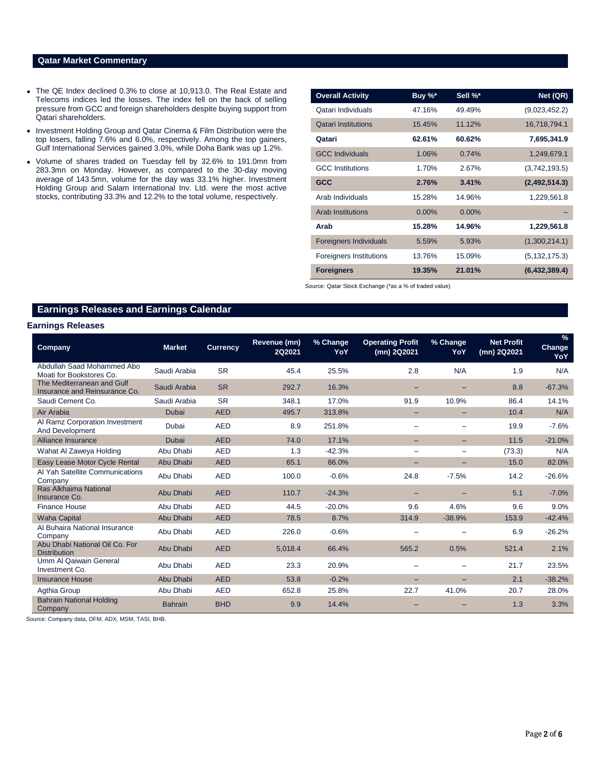# **Qatar Market Commentary**

- The QE Index declined 0.3% to close at 10,913.0. The Real Estate and Telecoms indices led the losses. The index fell on the back of selling pressure from GCC and foreign shareholders despite buying support from Qatari shareholders.
- Investment Holding Group and Qatar Cinema & Film Distribution were the top losers, falling 7.6% and 6.0%, respectively. Among the top gainers, Gulf International Services gained 3.0%, while Doha Bank was up 1.2%.
- Volume of shares traded on Tuesday fell by 32.6% to 191.0mn from 283.3mn on Monday. However, as compared to the 30-day moving average of 143.5mn, volume for the day was 33.1% higher. Investment Holding Group and Salam International Inv. Ltd. were the most active stocks, contributing 33.3% and 12.2% to the total volume, respectively.

| <b>Overall Activity</b>        | Buy %*   | Sell %*  | Net (QR)        |
|--------------------------------|----------|----------|-----------------|
| Qatari Individuals             | 47.16%   | 49.49%   | (9,023,452.2)   |
| <b>Oatari Institutions</b>     | 15.45%   | 11.12%   | 16,718,794.1    |
| Qatari                         | 62.61%   | 60.62%   | 7,695,341.9     |
| <b>GCC Individuals</b>         | 1.06%    | 0.74%    | 1,249,679.1     |
| <b>GCC</b> Institutions        | 1.70%    | 2.67%    | (3,742,193.5)   |
| <b>GCC</b>                     | 2.76%    | 3.41%    | (2,492,514.3)   |
| Arab Individuals               | 15.28%   | 14.96%   | 1,229,561.8     |
| <b>Arab Institutions</b>       | $0.00\%$ | $0.00\%$ |                 |
| Arab                           | 15.28%   | 14.96%   | 1,229,561.8     |
| <b>Foreigners Individuals</b>  | 5.59%    | 5.93%    | (1,300,214.1)   |
| <b>Foreigners Institutions</b> | 13.76%   | 15.09%   | (5, 132, 175.3) |
| <b>Foreigners</b>              | 19.35%   | 21.01%   | (6,432,389.4)   |

Source: Qatar Stock Exchange (\*as a % of traded value)

# **Earnings Releases and Earnings Calendar**

## **Earnings Releases**

| Company                                                     | <b>Market</b>  | <b>Currency</b> | Revenue (mn)<br><b>2Q2021</b> | % Change<br>YoY | <b>Operating Profit</b><br>(mn) 2Q2021 | % Change<br>YoY   | <b>Net Profit</b><br>(mn) 2Q2021 | $\frac{9}{6}$<br>Change<br>YoY |
|-------------------------------------------------------------|----------------|-----------------|-------------------------------|-----------------|----------------------------------------|-------------------|----------------------------------|--------------------------------|
| Abdullah Saad Mohammed Abo<br>Moati for Bookstores Co.      | Saudi Arabia   | <b>SR</b>       | 45.4                          | 25.5%           | 2.8                                    | N/A               | 1.9                              | N/A                            |
| The Mediterranean and Gulf<br>Insurance and Reinsurance Co. | Saudi Arabia   | <b>SR</b>       | 292.7                         | 16.3%           |                                        |                   | 8.8                              | $-67.3%$                       |
| Saudi Cement Co.                                            | Saudi Arabia   | <b>SR</b>       | 348.1                         | 17.0%           | 91.9                                   | 10.9%             | 86.4                             | 14.1%                          |
| Air Arabia                                                  | Dubai          | <b>AED</b>      | 495.7                         | 313.8%          | -                                      | $\qquad \qquad -$ | 10.4                             | N/A                            |
| Al Ramz Corporation Investment<br>And Development           | Dubai          | <b>AED</b>      | 8.9                           | 251.8%          |                                        |                   | 19.9                             | $-7.6%$                        |
| Alliance Insurance                                          | Dubai          | <b>AED</b>      | 74.0                          | 17.1%           | -                                      |                   | 11.5                             | $-21.0%$                       |
| Wahat Al Zaweya Holding                                     | Abu Dhabi      | <b>AED</b>      | 1.3                           | $-42.3%$        |                                        |                   | (73.3)                           | N/A                            |
| Easy Lease Motor Cycle Rental                               | Abu Dhabi      | <b>AED</b>      | 65.1                          | 86.0%           | $-$                                    |                   | 15.0                             | 82.0%                          |
| Al Yah Satellite Communications<br>Company                  | Abu Dhabi      | <b>AED</b>      | 100.0                         | $-0.6%$         | 24.8                                   | $-7.5%$           | 14.2                             | $-26.6%$                       |
| Ras Alkhaima National<br>Insurance Co.                      | Abu Dhabi      | <b>AED</b>      | 110.7                         | $-24.3%$        | -                                      |                   | 5.1                              | $-7.0%$                        |
| <b>Finance House</b>                                        | Abu Dhabi      | <b>AED</b>      | 44.5                          | $-20.0%$        | 9.6                                    | 4.6%              | 9.6                              | 9.0%                           |
| Waha Capital                                                | Abu Dhabi      | <b>AED</b>      | 78.5                          | 8.7%            | 314.9                                  | $-38.9%$          | 153.9                            | $-42.4%$                       |
| Al Buhaira National Insurance<br>Company                    | Abu Dhabi      | <b>AED</b>      | 226.0                         | $-0.6%$         | $\overline{\phantom{0}}$               |                   | 6.9                              | $-26.2%$                       |
| Abu Dhabi National Oil Co. For<br><b>Distribution</b>       | Abu Dhabi      | <b>AED</b>      | 5.018.4                       | 66.4%           | 565.2                                  | 0.5%              | 521.4                            | 2.1%                           |
| <b>Umm AI Qaiwain General</b><br>Investment Co.             | Abu Dhabi      | <b>AED</b>      | 23.3                          | 20.9%           |                                        |                   | 21.7                             | 23.5%                          |
| <b>Insurance House</b>                                      | Abu Dhabi      | <b>AED</b>      | 53.8                          | $-0.2%$         | $\overline{\phantom{0}}$               |                   | 2.1                              | $-38.2%$                       |
| Agthia Group                                                | Abu Dhabi      | <b>AED</b>      | 652.8                         | 25.8%           | 22.7                                   | 41.0%             | 20.7                             | 28.0%                          |
| <b>Bahrain National Holding</b><br>Company                  | <b>Bahrain</b> | <b>BHD</b>      | 9.9                           | 14.4%           |                                        |                   | 1.3                              | 3.3%                           |

Source: Company data, DFM, ADX, MSM, TASI, BHB.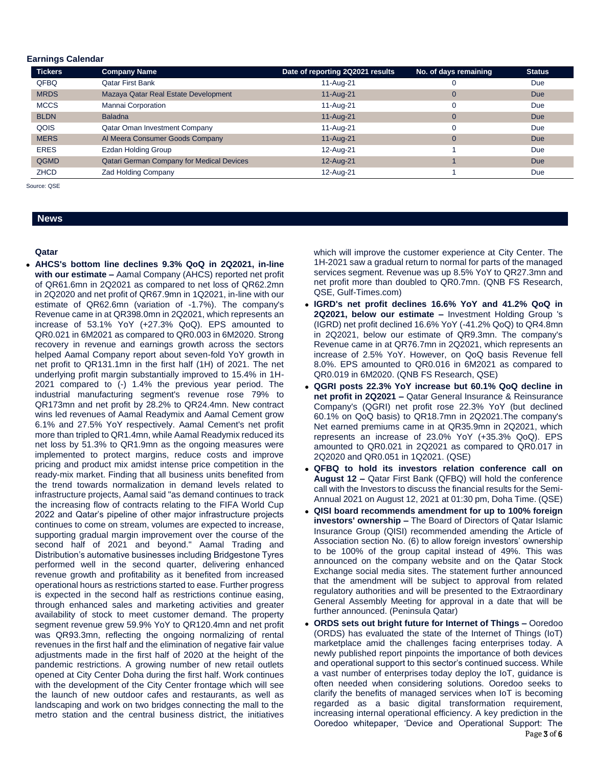### **Earnings Calendar**

| <b>Tickers</b> | <b>Company Name</b>                              | Date of reporting 2Q2021 results | No. of days remaining | <b>Status</b> |
|----------------|--------------------------------------------------|----------------------------------|-----------------------|---------------|
| QFBQ           | <b>Qatar First Bank</b>                          | 11-Aug-21                        |                       | Due           |
| <b>MRDS</b>    | Mazaya Qatar Real Estate Development             | 11-Aug-21                        | 0                     | <b>Due</b>    |
| <b>MCCS</b>    | Mannai Corporation                               | 11-Aug-21                        |                       | <b>Due</b>    |
| <b>BLDN</b>    | <b>Baladna</b>                                   | 11-Aug-21                        | 0                     | <b>Due</b>    |
| QOIS           | Qatar Oman Investment Company                    | 11-Aug-21                        |                       | <b>Due</b>    |
| <b>MERS</b>    | Al Meera Consumer Goods Company                  | 11-Aug-21                        | $\Omega$              | Due           |
| <b>ERES</b>    | <b>Ezdan Holding Group</b>                       | 12-Aug-21                        |                       | <b>Due</b>    |
| QGMD           | <b>Qatari German Company for Medical Devices</b> | 12-Aug-21                        |                       | Due           |
| <b>ZHCD</b>    | Zad Holding Company                              | 12-Aug-21                        |                       | Due           |

Source: QSE

# **News**

#### **Qatar**

 **AHCS's bottom line declines 9.3% QoQ in 2Q2021, in-line with our estimate –** Aamal Company (AHCS) reported net profit of QR61.6mn in 2Q2021 as compared to net loss of QR62.2mn in 2Q2020 and net profit of QR67.9mn in 1Q2021, in-line with our estimate of QR62.6mn (variation of -1.7%). The company's Revenue came in at QR398.0mn in 2Q2021, which represents an increase of 53.1% YoY (+27.3% QoQ). EPS amounted to QR0.021 in 6M2021 as compared to QR0.003 in 6M2020. Strong recovery in revenue and earnings growth across the sectors helped Aamal Company report about seven-fold YoY growth in net profit to QR131.1mn in the first half (1H) of 2021. The net underlying profit margin substantially improved to 15.4% in 1H-2021 compared to (-) 1.4% the previous year period. The industrial manufacturing segment's revenue rose 79% to QR173mn and net profit by 28.2% to QR24.4mn. New contract wins led revenues of Aamal Readymix and Aamal Cement grow 6.1% and 27.5% YoY respectively. Aamal Cement's net profit more than tripled to QR1.4mn, while Aamal Readymix reduced its net loss by 51.3% to QR1.9mn as the ongoing measures were implemented to protect margins, reduce costs and improve pricing and product mix amidst intense price competition in the ready-mix market. Finding that all business units benefited from the trend towards normalization in demand levels related to infrastructure projects, Aamal said "as demand continues to track the increasing flow of contracts relating to the FIFA World Cup 2022 and Qatar's pipeline of other major infrastructure projects continues to come on stream, volumes are expected to increase, supporting gradual margin improvement over the course of the second half of 2021 and beyond." Aamal Trading and Distribution's automative businesses including Bridgestone Tyres performed well in the second quarter, delivering enhanced revenue growth and profitability as it benefited from increased operational hours as restrictions started to ease. Further progress is expected in the second half as restrictions continue easing, through enhanced sales and marketing activities and greater availability of stock to meet customer demand. The property segment revenue grew 59.9% YoY to QR120.4mn and net profit was QR93.3mn, reflecting the ongoing normalizing of rental revenues in the first half and the elimination of negative fair value adjustments made in the first half of 2020 at the height of the pandemic restrictions. A growing number of new retail outlets opened at City Center Doha during the first half. Work continues with the development of the City Center frontage which will see the launch of new outdoor cafes and restaurants, as well as landscaping and work on two bridges connecting the mall to the metro station and the central business district, the initiatives

which will improve the customer experience at City Center. The 1H-2021 saw a gradual return to normal for parts of the managed services segment. Revenue was up 8.5% YoY to QR27.3mn and net profit more than doubled to QR0.7mn. (QNB FS Research, QSE, Gulf-Times.com)

- **IGRD's net profit declines 16.6% YoY and 41.2% QoQ in 2Q2021, below our estimate –** Investment Holding Group 's (IGRD) net profit declined 16.6% YoY (-41.2% QoQ) to QR4.8mn in 2Q2021, below our estimate of QR9.3mn. The company's Revenue came in at QR76.7mn in 2Q2021, which represents an increase of 2.5% YoY. However, on QoQ basis Revenue fell 8.0%. EPS amounted to QR0.016 in 6M2021 as compared to QR0.019 in 6M2020. (QNB FS Research, QSE)
- **QGRI posts 22.3% YoY increase but 60.1% QoQ decline in net profit in 2Q2021 –** Qatar General Insurance & Reinsurance Company's (QGRI) net profit rose 22.3% YoY (but declined 60.1% on QoQ basis) to QR18.7mn in 2Q2021.The company's Net earned premiums came in at QR35.9mn in 2Q2021, which represents an increase of 23.0% YoY (+35.3% QoQ). EPS amounted to QR0.021 in 2Q2021 as compared to QR0.017 in 2Q2020 and QR0.051 in 1Q2021. (QSE)
- **QFBQ to hold its investors relation conference call on August 12 –** Qatar First Bank (QFBQ) will hold the conference call with the Investors to discuss the financial results for the Semi-Annual 2021 on August 12, 2021 at 01:30 pm, Doha Time. (QSE)
- **QISI board recommends amendment for up to 100% foreign investors' ownership –** The Board of Directors of Qatar Islamic Insurance Group (QISI) recommended amending the Article of Association section No. (6) to allow foreign investors' ownership to be 100% of the group capital instead of 49%. This was announced on the company website and on the Qatar Stock Exchange social media sites. The statement further announced that the amendment will be subject to approval from related regulatory authorities and will be presented to the Extraordinary General Assembly Meeting for approval in a date that will be further announced. (Peninsula Qatar)
- **ORDS sets out bright future for Internet of Things –** Ooredoo (ORDS) has evaluated the state of the Internet of Things (IoT) marketplace amid the challenges facing enterprises today. A newly published report pinpoints the importance of both devices and operational support to this sector's continued success. While a vast number of enterprises today deploy the IoT, guidance is often needed when considering solutions. Ooredoo seeks to clarify the benefits of managed services when IoT is becoming regarded as a basic digital transformation requirement, increasing internal operational efficiency. A key prediction in the Ooredoo whitepaper, 'Device and Operational Support: The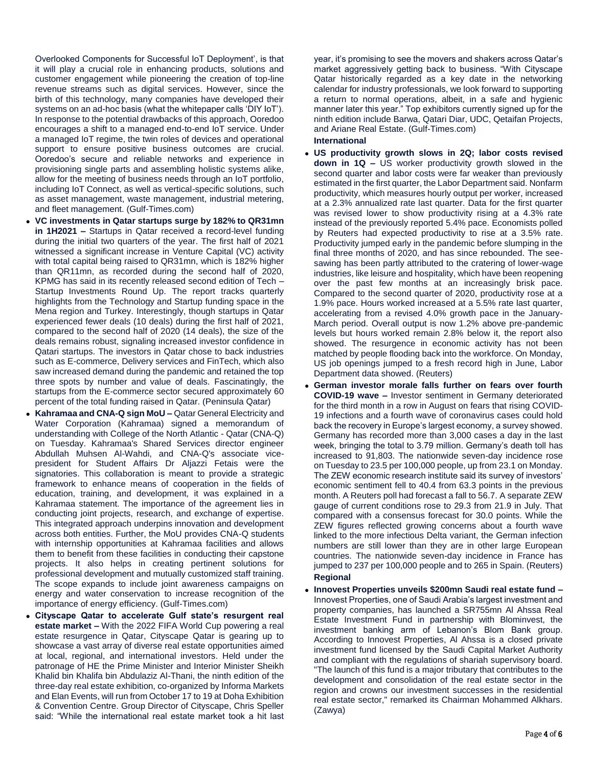Overlooked Components for Successful IoT Deployment', is that it will play a crucial role in enhancing products, solutions and customer engagement while pioneering the creation of top-line revenue streams such as digital services. However, since the birth of this technology, many companies have developed their systems on an ad-hoc basis (what the whitepaper calls 'DIY IoT'). In response to the potential drawbacks of this approach, Ooredoo encourages a shift to a managed end-to-end IoT service. Under a managed IoT regime, the twin roles of devices and operational support to ensure positive business outcomes are crucial. Ooredoo's secure and reliable networks and experience in provisioning single parts and assembling holistic systems alike, allow for the meeting of business needs through an IoT portfolio, including IoT Connect, as well as vertical-specific solutions, such as asset management, waste management, industrial metering, and fleet management. (Gulf-Times.com)

- **VC investments in Qatar startups surge by 182% to QR31mn in 1H2021 –** Startups in Qatar received a record-level funding during the initial two quarters of the year. The first half of 2021 witnessed a significant increase in Venture Capital (VC) activity with total capital being raised to QR31mn, which is 182% higher than QR11mn, as recorded during the second half of 2020, KPMG has said in its recently released second edition of Tech – Startup Investments Round Up. The report tracks quarterly highlights from the Technology and Startup funding space in the Mena region and Turkey. Interestingly, though startups in Qatar experienced fewer deals (10 deals) during the first half of 2021, compared to the second half of 2020 (14 deals), the size of the deals remains robust, signaling increased investor confidence in Qatari startups. The investors in Qatar chose to back industries such as E-commerce, Delivery services and FinTech, which also saw increased demand during the pandemic and retained the top three spots by number and value of deals. Fascinatingly, the startups from the E-commerce sector secured approximately 60 percent of the total funding raised in Qatar. (Peninsula Qatar)
- **Kahramaa and CNA-Q sign MoU –** Qatar General Electricity and Water Corporation (Kahramaa) signed a memorandum of understanding with College of the North Atlantic - Qatar (CNA-Q) on Tuesday. Kahramaa's Shared Services director engineer Abdullah Muhsen Al-Wahdi, and CNA-Q's associate vicepresident for Student Affairs Dr Aljazzi Fetais were the signatories. This collaboration is meant to provide a strategic framework to enhance means of cooperation in the fields of education, training, and development, it was explained in a Kahramaa statement. The importance of the agreement lies in conducting joint projects, research, and exchange of expertise. This integrated approach underpins innovation and development across both entities. Further, the MoU provides CNA-Q students with internship opportunities at Kahramaa facilities and allows them to benefit from these facilities in conducting their capstone projects. It also helps in creating pertinent solutions for professional development and mutually customized staff training. The scope expands to include joint awareness campaigns on energy and water conservation to increase recognition of the importance of energy efficiency. (Gulf-Times.com)
- **Cityscape Qatar to accelerate Gulf state's resurgent real estate market –** With the 2022 FIFA World Cup powering a real estate resurgence in Qatar, Cityscape Qatar is gearing up to showcase a vast array of diverse real estate opportunities aimed at local, regional, and international investors. Held under the patronage of HE the Prime Minister and Interior Minister Sheikh Khalid bin Khalifa bin Abdulaziz Al-Thani, the ninth edition of the three-day real estate exhibition, co-organized by Informa Markets and Elan Events, will run from October 17 to 19 at Doha Exhibition & Convention Centre. Group Director of Cityscape, Chris Speller said: "While the international real estate market took a hit last

year, it's promising to see the movers and shakers across Qatar's market aggressively getting back to business. "With Cityscape Qatar historically regarded as a key date in the networking calendar for industry professionals, we look forward to supporting a return to normal operations, albeit, in a safe and hygienic manner later this year." Top exhibitors currently signed up for the ninth edition include Barwa, Qatari Diar, UDC, Qetaifan Projects, and Ariane Real Estate. (Gulf-Times.com)

### **International**

- **US productivity growth slows in 2Q; labor costs revised down in 1Q –** US worker productivity growth slowed in the second quarter and labor costs were far weaker than previously estimated in the first quarter, the Labor Department said. Nonfarm productivity, which measures hourly output per worker, increased at a 2.3% annualized rate last quarter. Data for the first quarter was revised lower to show productivity rising at a 4.3% rate instead of the previously reported 5.4% pace. Economists polled by Reuters had expected productivity to rise at a 3.5% rate. Productivity jumped early in the pandemic before slumping in the final three months of 2020, and has since rebounded. The seesawing has been partly attributed to the cratering of lower-wage industries, like leisure and hospitality, which have been reopening over the past few months at an increasingly brisk pace. Compared to the second quarter of 2020, productivity rose at a 1.9% pace. Hours worked increased at a 5.5% rate last quarter, accelerating from a revised 4.0% growth pace in the January-March period. Overall output is now 1.2% above pre-pandemic levels but hours worked remain 2.8% below it, the report also showed. The resurgence in economic activity has not been matched by people flooding back into the workforce. On Monday, US job openings jumped to a fresh record high in June, Labor Department data showed. (Reuters)
- **German investor morale falls further on fears over fourth COVID-19 wave –** Investor sentiment in Germany deteriorated for the third month in a row in August on fears that rising COVID-19 infections and a fourth wave of coronavirus cases could hold back the recovery in Europe's largest economy, a survey showed. Germany has recorded more than 3,000 cases a day in the last week, bringing the total to 3.79 million. Germany's death toll has increased to 91,803. The nationwide seven-day incidence rose on Tuesday to 23.5 per 100,000 people, up from 23.1 on Monday. The ZEW economic research institute said its survey of investors' economic sentiment fell to 40.4 from 63.3 points in the previous month. A Reuters poll had forecast a fall to 56.7. A separate ZEW gauge of current conditions rose to 29.3 from 21.9 in July. That compared with a consensus forecast for 30.0 points. While the ZEW figures reflected growing concerns about a fourth wave linked to the more infectious Delta variant, the German infection numbers are still lower than they are in other large European countries. The nationwide seven-day incidence in France has jumped to 237 per 100,000 people and to 265 in Spain. (Reuters) **Regional**
- **Innovest Properties unveils \$200mn Saudi real estate fund –** Innovest Properties, one of Saudi Arabia's largest investment and property companies, has launched a SR755mn Al Ahssa Real Estate Investment Fund in partnership with Blominvest, the investment banking arm of Lebanon's Blom Bank group. According to Innovest Properties, Al Ahssa is a closed private investment fund licensed by the Saudi Capital Market Authority and compliant with the regulations of shariah supervisory board. "The launch of this fund is a major tributary that contributes to the development and consolidation of the real estate sector in the region and crowns our investment successes in the residential real estate sector," remarked its Chairman Mohammed Alkhars. (Zawya)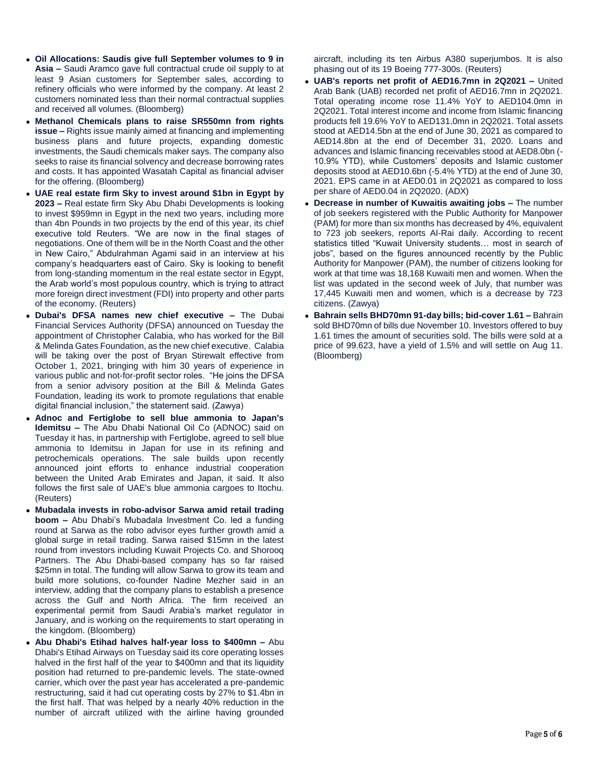- **Oil Allocations: Saudis give full September volumes to 9 in Asia –** Saudi Aramco gave full contractual crude oil supply to at least 9 Asian customers for September sales, according to refinery officials who were informed by the company. At least 2 customers nominated less than their normal contractual supplies and received all volumes. (Bloomberg)
- **Methanol Chemicals plans to raise SR550mn from rights issue –** Rights issue mainly aimed at financing and implementing business plans and future projects, expanding domestic investments, the Saudi chemicals maker says. The company also seeks to raise its financial solvency and decrease borrowing rates and costs. It has appointed Wasatah Capital as financial adviser for the offering. (Bloomberg)
- **UAE real estate firm Sky to invest around \$1bn in Egypt by 2023 –** Real estate firm Sky Abu Dhabi Developments is looking to invest \$959mn in Egypt in the next two years, including more than 4bn Pounds in two projects by the end of this year, its chief executive told Reuters. "We are now in the final stages of negotiations. One of them will be in the North Coast and the other in New Cairo," Abdulrahman Agami said in an interview at his company's headquarters east of Cairo. Sky is looking to benefit from long-standing momentum in the real estate sector in Egypt, the Arab world's most populous country, which is trying to attract more foreign direct investment (FDI) into property and other parts of the economy. (Reuters)
- **Dubai's DFSA names new chief executive –** The Dubai Financial Services Authority (DFSA) announced on Tuesday the appointment of Christopher Calabia, who has worked for the Bill & Melinda Gates Foundation, as the new chief executive. Calabia will be taking over the post of Bryan Stirewalt effective from October 1, 2021, bringing with him 30 years of experience in various public and not-for-profit sector roles. "He joins the DFSA from a senior advisory position at the Bill & Melinda Gates Foundation, leading its work to promote regulations that enable digital financial inclusion," the statement said. (Zawya)
- **Adnoc and Fertiglobe to sell blue ammonia to Japan's Idemitsu –** The Abu Dhabi National Oil Co (ADNOC) said on Tuesday it has, in partnership with Fertiglobe, agreed to sell blue ammonia to Idemitsu in Japan for use in its refining and petrochemicals operations. The sale builds upon recently announced joint efforts to enhance industrial cooperation between the United Arab Emirates and Japan, it said. It also follows the first sale of UAE's blue ammonia cargoes to Itochu. (Reuters)
- **Mubadala invests in robo-advisor Sarwa amid retail trading boom –** Abu Dhabi's Mubadala Investment Co. led a funding round at Sarwa as the robo advisor eyes further growth amid a global surge in retail trading. Sarwa raised \$15mn in the latest round from investors including Kuwait Projects Co. and Shorooq Partners. The Abu Dhabi-based company has so far raised \$25mn in total. The funding will allow Sarwa to grow its team and build more solutions, co-founder Nadine Mezher said in an interview, adding that the company plans to establish a presence across the Gulf and North Africa. The firm received an experimental permit from Saudi Arabia's market regulator in January, and is working on the requirements to start operating in the kingdom. (Bloomberg)
- **Abu Dhabi's Etihad halves half-year loss to \$400mn –** Abu Dhabi's Etihad Airways on Tuesday said its core operating losses halved in the first half of the year to \$400mn and that its liquidity position had returned to pre-pandemic levels. The state-owned carrier, which over the past year has accelerated a pre-pandemic restructuring, said it had cut operating costs by 27% to \$1.4bn in the first half. That was helped by a nearly 40% reduction in the number of aircraft utilized with the airline having grounded

aircraft, including its ten Airbus A380 superjumbos. It is also phasing out of its 19 Boeing 777-300s. (Reuters)

- **UAB's reports net profit of AED16.7mn in 2Q2021 –** United Arab Bank (UAB) recorded net profit of AED16.7mn in 2Q2021. Total operating income rose 11.4% YoY to AED104.0mn in 2Q2021. Total interest income and income from Islamic financing products fell 19.6% YoY to AED131.0mn in 2Q2021. Total assets stood at AED14.5bn at the end of June 30, 2021 as compared to AED14.8bn at the end of December 31, 2020. Loans and advances and Islamic financing receivables stood at AED8.0bn (- 10.9% YTD), while Customers' deposits and Islamic customer deposits stood at AED10.6bn (-5.4% YTD) at the end of June 30, 2021. EPS came in at AED0.01 in 2Q2021 as compared to loss per share of AED0.04 in 2Q2020. (ADX)
- **Decrease in number of Kuwaitis awaiting jobs –** The number of job seekers registered with the Public Authority for Manpower (PAM) for more than six months has decreased by 4%, equivalent to 723 job seekers, reports Al-Rai daily. According to recent statistics titled "Kuwait University students… most in search of jobs", based on the figures announced recently by the Public Authority for Manpower (PAM), the number of citizens looking for work at that time was 18,168 Kuwaiti men and women. When the list was updated in the second week of July, that number was 17,445 Kuwaiti men and women, which is a decrease by 723 citizens. (Zawya)
- **Bahrain sells BHD70mn 91-day bills; bid-cover 1.61 –** Bahrain sold BHD70mn of bills due November 10. Investors offered to buy 1.61 times the amount of securities sold. The bills were sold at a price of 99.623, have a yield of 1.5% and will settle on Aug 11. (Bloomberg)